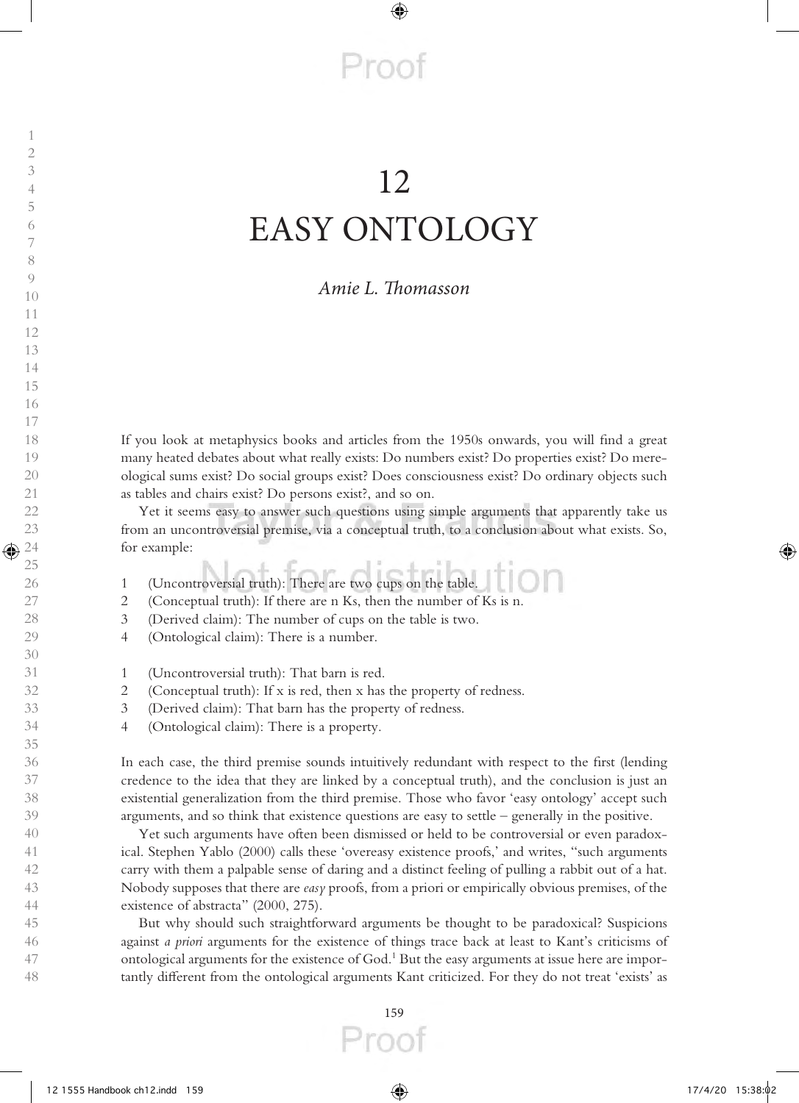## Proof

 $\bigoplus$ 

# Easy Ontology

*Amie L. Thomasson*

If you look at metaphysics books and articles from the 1950s onwards, you will find a great many heated debates about what really exists: Do numbers exist? Do properties exist? Do mereological sums exist? Do social groups exist? Does consciousness exist? Do ordinary objects such as tables and chairs exist? Do persons exist?, and so on.

Yet it seems easy to answer such questions using simple arguments that apparently take us from an uncontroversial premise, via a conceptual truth, to a conclusion about what exists. So, for example:

- (Uncontroversial truth): There are two cups on the table.
- (Conceptual truth): If there are n Ks, then the number of Ks is n.
- (Derived claim): The number of cups on the table is two.
- (Ontological claim): There is a number.
- (Uncontroversial truth): That barn is red.
- (Conceptual truth): If x is red, then x has the property of redness.
- (Derived claim): That barn has the property of redness.
- (Ontological claim): There is a property.

In each case, the third premise sounds intuitively redundant with respect to the first (lending credence to the idea that they are linked by a conceptual truth), and the conclusion is just an existential generalization from the third premise. Those who favor 'easy ontology' accept such arguments, and so think that existence questions are easy to settle – generally in the positive.

Yet such arguments have often been dismissed or held to be controversial or even paradoxical. Stephen Yablo (2000) calls these 'overeasy existence proofs,' and writes, "such arguments carry with them a palpable sense of daring and a distinct feeling of pulling a rabbit out of a hat. Nobody supposes that there are *easy* proofs, from a priori or empirically obvious premises, of the existence of abstracta" (2000, 275).

But why should such straightforward arguments be thought to be paradoxical? Suspicions against *a priori* arguments for the existence of things trace back at least to Kant's criticisms of ontological arguments for the existence of God.<sup>1</sup> But the easy arguments at issue here are importantly different from the ontological arguments Kant criticized. For they do not treat 'exists' as

↔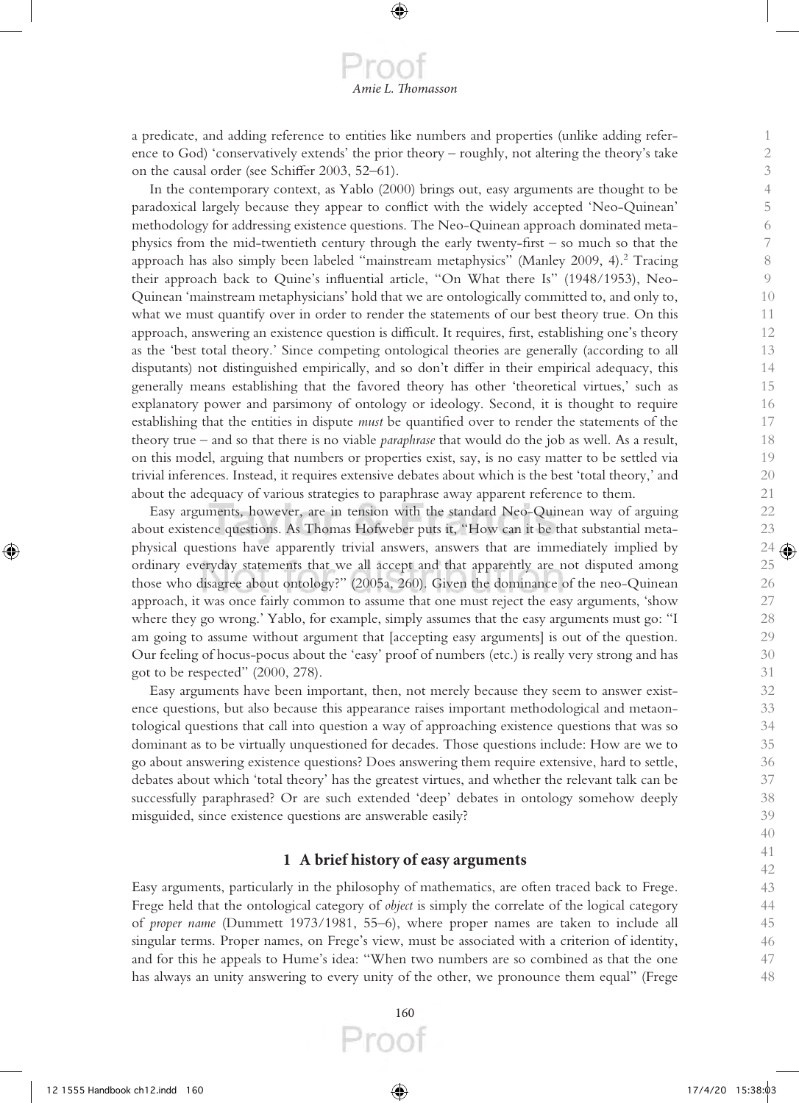⊕

a predicate, and adding reference to entities like numbers and properties (unlike adding reference to God) 'conservatively extends' the prior theory – roughly, not altering the theory's take on the causal order (see Schiffer 2003, 52–61).

In the contemporary context, as Yablo (2000) brings out, easy arguments are thought to be paradoxical largely because they appear to conflict with the widely accepted 'Neo-Quinean' methodology for addressing existence questions. The Neo-Quinean approach dominated metaphysics from the mid-twentieth century through the early twenty-first – so much so that the approach has also simply been labeled "mainstream metaphysics" (Manley 2009, 4).<sup>2</sup> Tracing their approach back to Quine's influential article, "On What there Is" (1948/1953), Neo-Quinean 'mainstream metaphysicians' hold that we are ontologically committed to, and only to, what we must quantify over in order to render the statements of our best theory true. On this approach, answering an existence question is difficult. It requires, first, establishing one's theory as the 'best total theory.' Since competing ontological theories are generally (according to all disputants) not distinguished empirically, and so don't differ in their empirical adequacy, this generally means establishing that the favored theory has other 'theoretical virtues,' such as explanatory power and parsimony of ontology or ideology. Second, it is thought to require establishing that the entities in dispute *must* be quantified over to render the statements of the theory true – and so that there is no viable *paraphrase* that would do the job as well. As a result, on this model, arguing that numbers or properties exist, say, is no easy matter to be settled via trivial inferences. Instead, it requires extensive debates about which is the best 'total theory,' and about the adequacy of various strategies to paraphrase away apparent reference to them.

Easy arguments, however, are in tension with the standard Neo-Quinean way of arguing about existence questions. As Thomas Hofweber puts it, "How can it be that substantial metaphysical questions have apparently trivial answers, answers that are immediately implied by ordinary everyday statements that we all accept and that apparently are not disputed among those who disagree about ontology?" (2005a, 260). Given the dominance of the neo-Quinean approach, it was once fairly common to assume that one must reject the easy arguments, 'show where they go wrong.' Yablo, for example, simply assumes that the easy arguments must go: "I am going to assume without argument that [accepting easy arguments] is out of the question. Our feeling of hocus-pocus about the 'easy' proof of numbers (etc.) is really very strong and has got to be respected" (2000, 278).

Easy arguments have been important, then, not merely because they seem to answer existence questions, but also because this appearance raises important methodological and metaontological questions that call into question a way of approaching existence questions that was so dominant as to be virtually unquestioned for decades. Those questions include: How are we to go about answering existence questions? Does answering them require extensive, hard to settle, debates about which 'total theory' has the greatest virtues, and whether the relevant talk can be successfully paraphrased? Or are such extended 'deep' debates in ontology somehow deeply misguided, since existence questions are answerable easily?

#### **1 A brief history of easy arguments**

Easy arguments, particularly in the philosophy of mathematics, are often traced back to Frege. Frege held that the ontological category of *object* is simply the correlate of the logical category of *proper name* (Dummett 1973/1981, 55–6), where proper names are taken to include all singular terms. Proper names, on Frege's view, must be associated with a criterion of identity, and for this he appeals to Hume's idea: "When two numbers are so combined as that the one has always an unity answering to every unity of the other, we pronounce them equal" (Frege



↔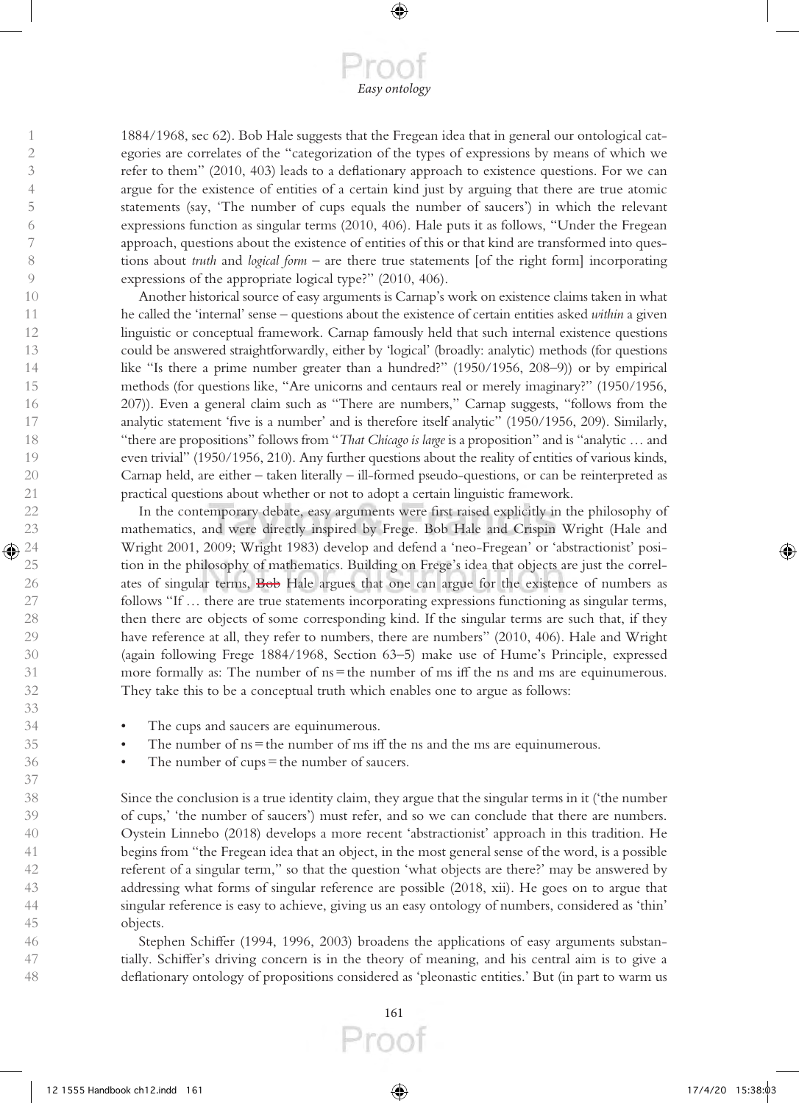$\bigoplus$ 

1884/1968, sec 62). Bob Hale suggests that the Fregean idea that in general our ontological categories are correlates of the "categorization of the types of expressions by means of which we refer to them" (2010, 403) leads to a deflationary approach to existence questions. For we can argue for the existence of entities of a certain kind just by arguing that there are true atomic statements (say, 'The number of cups equals the number of saucers') in which the relevant expressions function as singular terms (2010, 406). Hale puts it as follows, "Under the Fregean approach, questions about the existence of entities of this or that kind are transformed into questions about *truth* and *logical form –* are there true statements [of the right form] incorporating expressions of the appropriate logical type?" (2010, 406).

Another historical source of easy arguments is Carnap's work on existence claims taken in what he called the 'internal' sense – questions about the existence of certain entities asked *within* a given linguistic or conceptual framework. Carnap famously held that such internal existence questions could be answered straightforwardly, either by 'logical' (broadly: analytic) methods (for questions like "Is there a prime number greater than a hundred?" (1950/1956, 208–9)) or by empirical methods (for questions like, "Are unicorns and centaurs real or merely imaginary?" (1950/1956, 207)). Even a general claim such as "There are numbers," Carnap suggests, "follows from the analytic statement 'five is a number' and is therefore itself analytic" (1950/1956, 209). Similarly, "there are propositions" follows from "*That Chicago is large* is a proposition" and is "analytic … and even trivial" (1950/1956, 210). Any further questions about the reality of entities of various kinds, Carnap held, are either – taken literally – ill-formed pseudo-questions, or can be reinterpreted as practical questions about whether or not to adopt a certain linguistic framework.

In the contemporary debate, easy arguments were first raised explicitly in the philosophy of mathematics, and were directly inspired by Frege. Bob Hale and Crispin Wright (Hale and Wright 2001, 2009; Wright 1983) develop and defend a 'neo-Fregean' or 'abstractionist' position in the philosophy of mathematics. Building on Frege's idea that objects are just the correlates of singular terms, Bob Hale argues that one can argue for the existence of numbers as follows "If … there are true statements incorporating expressions functioning as singular terms, then there are objects of some corresponding kind. If the singular terms are such that, if they have reference at all, they refer to numbers, there are numbers" (2010, 406). Hale and Wright (again following Frege 1884/1968, Section 63–5) make use of Hume's Principle, expressed more formally as: The number of  $ms$  = the number of ms iff the ns and ms are equinumerous. They take this to be a conceptual truth which enables one to argue as follows:

- The cups and saucers are equinumerous.
- The number of  $ns$  = the number of ms iff the ns and the ms are equinumerous.
- The number of cups  $=$  the number of saucers.

Since the conclusion is a true identity claim, they argue that the singular terms in it ('the number of cups,' 'the number of saucers') must refer, and so we can conclude that there are numbers. Oystein Linnebo (2018) develops a more recent 'abstractionist' approach in this tradition. He begins from "the Fregean idea that an object, in the most general sense of the word, is a possible referent of a singular term," so that the question 'what objects are there?' may be answered by addressing what forms of singular reference are possible (2018, xii). He goes on to argue that singular reference is easy to achieve, giving us an easy ontology of numbers, considered as 'thin' objects.

Stephen Schiffer (1994, 1996, 2003) broadens the applications of easy arguments substantially. Schiffer's driving concern is in the theory of meaning, and his central aim is to give a deflationary ontology of propositions considered as 'pleonastic entities.' But (in part to warm us  $\leftrightarrow$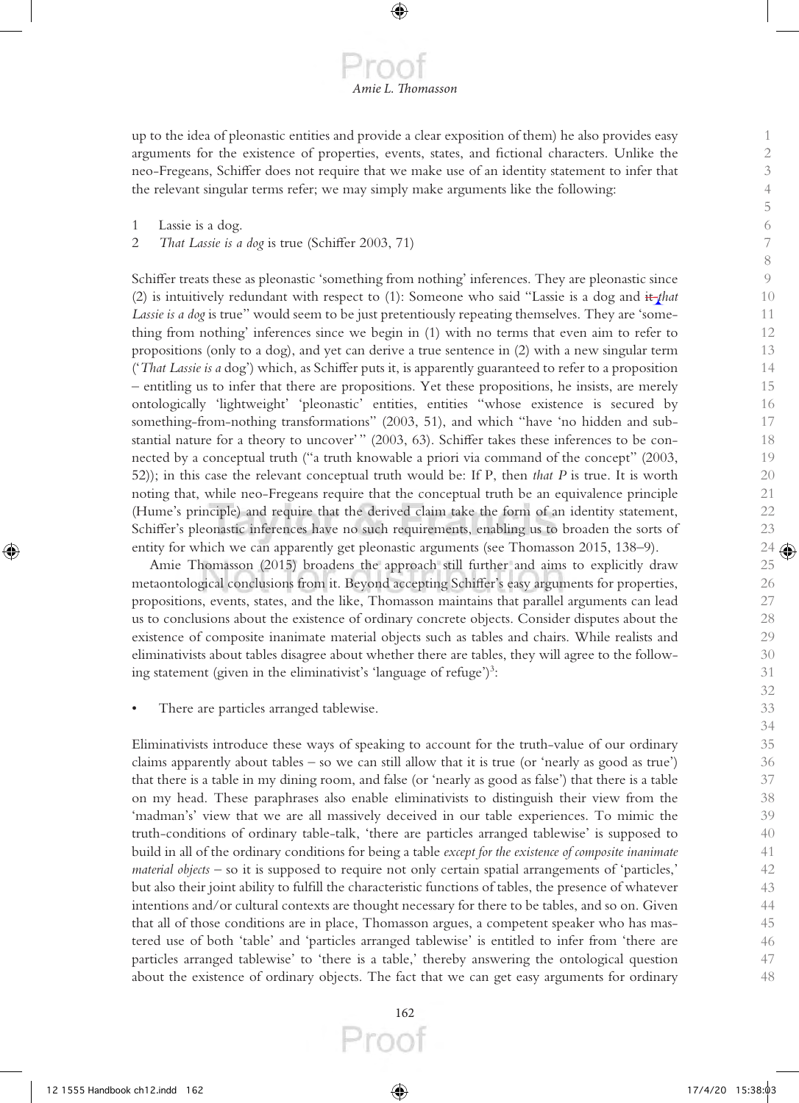⊕

up to the idea of pleonastic entities and provide a clear exposition of them) he also provides easy arguments for the existence of properties, events, states, and fictional characters. Unlike the neo-Fregeans, Schiffer does not require that we make use of an identity statement to infer that the relevant singular terms refer; we may simply make arguments like the following:

1 Lassie is a dog.

2 *That Lassie is a dog* is true (Schiffer 2003, 71)

Schiffer treats these as pleonastic 'something from nothing' inferences. They are pleonastic since (2) is intuitively redundant with respect to (1): Someone who said "Lassie is a dog and it *that Lassie is a dog* is true" would seem to be just pretentiously repeating themselves. They are 'something from nothing' inferences since we begin in (1) with no terms that even aim to refer to propositions (only to a dog), and yet can derive a true sentence in (2) with a new singular term ('*That Lassie is a* dog') which, as Schiffer puts it, is apparently guaranteed to refer to a proposition – entitling us to infer that there are propositions. Yet these propositions, he insists, are merely ontologically 'lightweight' 'pleonastic' entities, entities "whose existence is secured by something-from-nothing transformations" (2003, 51), and which "have 'no hidden and substantial nature for a theory to uncover' " (2003, 63). Schiffer takes these inferences to be connected by a conceptual truth ("a truth knowable a priori via command of the concept" (2003, 52)); in this case the relevant conceptual truth would be: If P, then *that P* is true. It is worth noting that, while neo-Fregeans require that the conceptual truth be an equivalence principle (Hume's principle) and require that the derived claim take the form of an identity statement, Schiffer's pleonastic inferences have no such requirements, enabling us to broaden the sorts of entity for which we can apparently get pleonastic arguments (see Thomasson 2015, 138–9).

Amie Thomasson (2015) broadens the approach still further and aims to explicitly draw metaontological conclusions from it. Beyond accepting Schiffer's easy arguments for properties, propositions, events, states, and the like, Thomasson maintains that parallel arguments can lead us to conclusions about the existence of ordinary concrete objects. Consider disputes about the existence of composite inanimate material objects such as tables and chairs. While realists and eliminativists about tables disagree about whether there are tables, they will agree to the following statement (given in the eliminativist's 'language of refuge')<sup>3</sup>:

There are particles arranged tablewise.

Eliminativists introduce these ways of speaking to account for the truth-value of our ordinary claims apparently about tables – so we can still allow that it is true (or 'nearly as good as true') that there is a table in my dining room, and false (or 'nearly as good as false') that there is a table on my head. These paraphrases also enable eliminativists to distinguish their view from the 'madman's' view that we are all massively deceived in our table experiences. To mimic the truth-conditions of ordinary table-talk, 'there are particles arranged tablewise' is supposed to build in all of the ordinary conditions for being a table *except for the existence of composite inanimate material objects – so it is supposed to require not only certain spatial arrangements of 'particles,'* but also their joint ability to fulfill the characteristic functions of tables, the presence of whatever intentions and/or cultural contexts are thought necessary for there to be tables, and so on. Given that all of those conditions are in place, Thomasson argues, a competent speaker who has mastered use of both 'table' and 'particles arranged tablewise' is entitled to infer from 'there are particles arranged tablewise' to 'there is a table,' thereby answering the ontological question about the existence of ordinary objects. The fact that we can get easy arguments for ordinary



⊕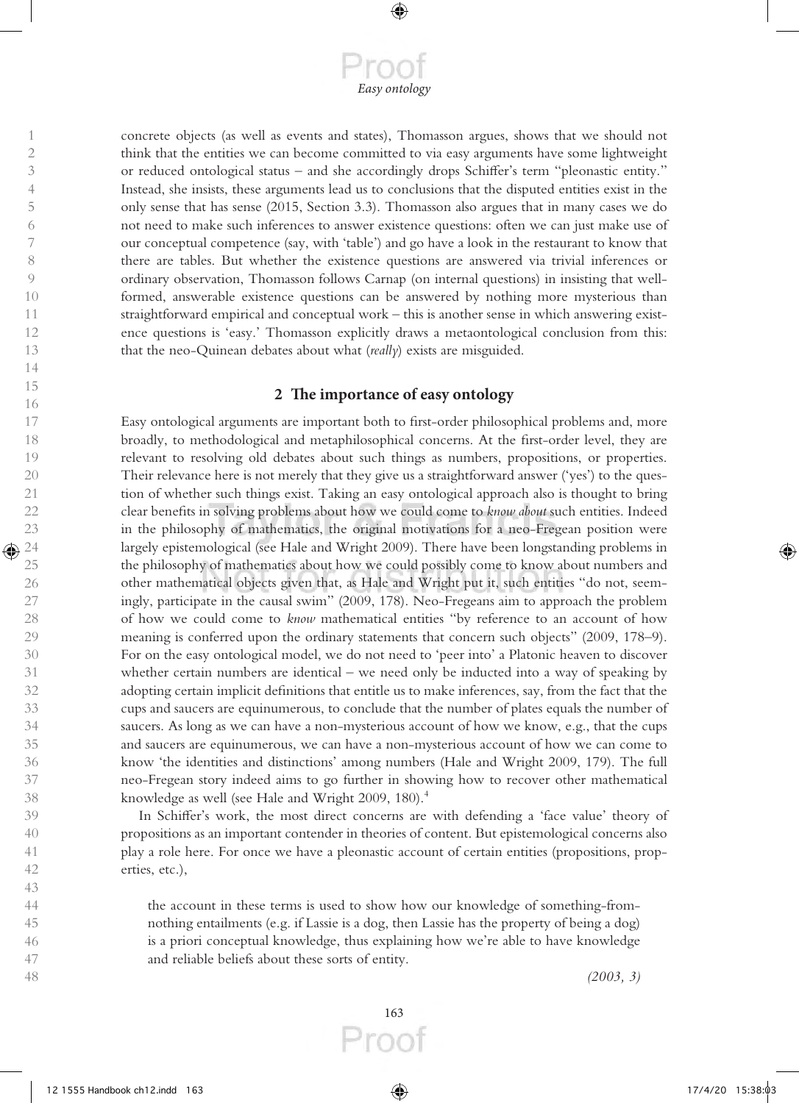$\bigoplus$ 

concrete objects (as well as events and states), Thomasson argues, shows that we should not think that the entities we can become committed to via easy arguments have some lightweight or reduced ontological status – and she accordingly drops Schiffer's term "pleonastic entity." Instead, she insists, these arguments lead us to conclusions that the disputed entities exist in the only sense that has sense (2015, Section 3.3). Thomasson also argues that in many cases we do not need to make such inferences to answer existence questions: often we can just make use of our conceptual competence (say, with 'table') and go have a look in the restaurant to know that there are tables. But whether the existence questions are answered via trivial inferences or ordinary observation, Thomasson follows Carnap (on internal questions) in insisting that wellformed, answerable existence questions can be answered by nothing more mysterious than straightforward empirical and conceptual work – this is another sense in which answering existence questions is 'easy.' Thomasson explicitly draws a metaontological conclusion from this: that the neo-Quinean debates about what (*really*) exists are misguided.

#### **2 The importance of easy ontology**

Easy ontological arguments are important both to first-order philosophical problems and, more broadly, to methodological and metaphilosophical concerns. At the first-order level, they are relevant to resolving old debates about such things as numbers, propositions, or properties. Their relevance here is not merely that they give us a straightforward answer ('yes') to the question of whether such things exist. Taking an easy ontological approach also is thought to bring clear benefits in solving problems about how we could come to *know about* such entities. Indeed in the philosophy of mathematics, the original motivations for a neo-Fregean position were largely epistemological (see Hale and Wright 2009). There have been longstanding problems in the philosophy of mathematics about how we could possibly come to know about numbers and other mathematical objects given that, as Hale and Wright put it, such entities "do not, seemingly, participate in the causal swim" (2009, 178). Neo-Fregeans aim to approach the problem of how we could come to *know* mathematical entities "by reference to an account of how meaning is conferred upon the ordinary statements that concern such objects" (2009, 178–9). For on the easy ontological model, we do not need to 'peer into' a Platonic heaven to discover whether certain numbers are identical – we need only be inducted into a way of speaking by adopting certain implicit definitions that entitle us to make inferences, say, from the fact that the cups and saucers are equinumerous, to conclude that the number of plates equals the number of saucers. As long as we can have a non-mysterious account of how we know, e.g., that the cups and saucers are equinumerous, we can have a non-mysterious account of how we can come to know 'the identities and distinctions' among numbers (Hale and Wright 2009, 179). The full neo-Fregean story indeed aims to go further in showing how to recover other mathematical knowledge as well (see Hale and Wright 2009, 180).<sup>4</sup>

In Schiffer's work, the most direct concerns are with defending a 'face value' theory of propositions as an important contender in theories of content. But epistemological concerns also play a role here. For once we have a pleonastic account of certain entities (propositions, properties, etc.),

the account in these terms is used to show how our knowledge of something-fromnothing entailments (e.g. if Lassie is a dog, then Lassie has the property of being a dog) is a priori conceptual knowledge, thus explaining how we're able to have knowledge and reliable beliefs about these sorts of entity.

*(2003, 3)*



↔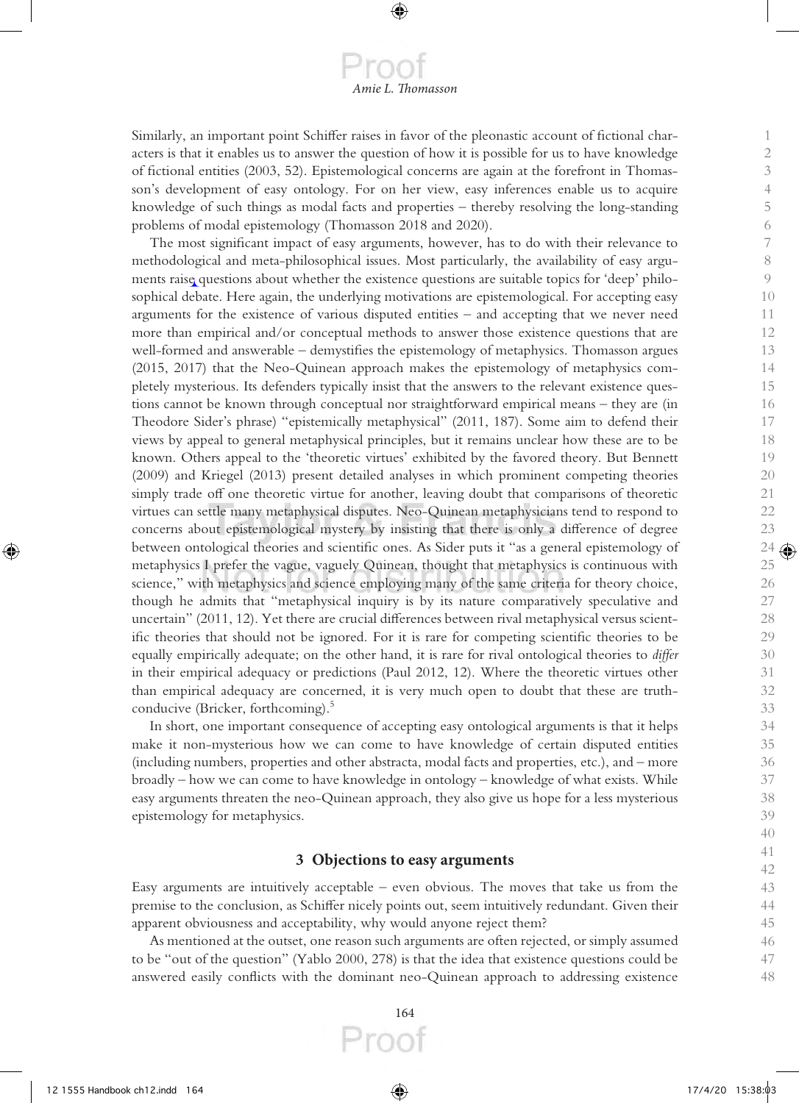⊕

Similarly, an important point Schiffer raises in favor of the pleonastic account of fictional characters is that it enables us to answer the question of how it is possible for us to have knowledge of fictional entities (2003, 52). Epistemological concerns are again at the forefront in Thomasson's development of easy ontology. For on her view, easy inferences enable us to acquire knowledge of such things as modal facts and properties – thereby resolving the long-standing problems of modal epistemology (Thomasson 2018 and 2020).

The most significant impact of easy arguments, however, has to do with their relevance to methodological and meta-philosophical issues. Most particularly, the availability of easy arguments raise questions about whether the existence questions are suitable topics for 'deep' philosophical debate. Here again, the underlying motivations are epistemological. For accepting easy arguments for the existence of various disputed entities – and accepting that we never need more than empirical and/or conceptual methods to answer those existence questions that are well-formed and answerable – demystifies the epistemology of metaphysics. Thomasson argues (2015, 2017) that the Neo-Quinean approach makes the epistemology of metaphysics completely mysterious. Its defenders typically insist that the answers to the relevant existence questions cannot be known through conceptual nor straightforward empirical means – they are (in Theodore Sider's phrase) "epistemically metaphysical" (2011, 187). Some aim to defend their views by appeal to general metaphysical principles, but it remains unclear how these are to be known. Others appeal to the 'theoretic virtues' exhibited by the favored theory. But Bennett (2009) and Kriegel (2013) present detailed analyses in which prominent competing theories simply trade off one theoretic virtue for another, leaving doubt that comparisons of theoretic virtues can settle many metaphysical disputes. Neo-Quinean metaphysicians tend to respond to concerns about epistemological mystery by insisting that there is only a difference of degree between ontological theories and scientific ones. As Sider puts it "as a general epistemology of metaphysics I prefer the vague, vaguely Quinean, thought that metaphysics is continuous with science," with metaphysics and science employing many of the same criteria for theory choice, though he admits that "metaphysical inquiry is by its nature comparatively speculative and uncertain" (2011, 12). Yet there are crucial differences between rival metaphysical versus scientific theories that should not be ignored. For it is rare for competing scientific theories to be equally empirically adequate; on the other hand, it is rare for rival ontological theories to *differ* in their empirical adequacy or predictions (Paul 2012, 12). Where the theoretic virtues other than empirical adequacy are concerned, it is very much open to doubt that these are truthconducive (Bricker, forthcoming).5

In short, one important consequence of accepting easy ontological arguments is that it helps make it non-mysterious how we can come to have knowledge of certain disputed entities (including numbers, properties and other abstracta, modal facts and properties, etc.), and – more broadly – how we can come to have knowledge in ontology – knowledge of what exists. While easy arguments threaten the neo-Quinean approach, they also give us hope for a less mysterious epistemology for metaphysics.

#### **3 Objections to easy arguments**

Easy arguments are intuitively acceptable – even obvious. The moves that take us from the premise to the conclusion, as Schiffer nicely points out, seem intuitively redundant. Given their apparent obviousness and acceptability, why would anyone reject them?

As mentioned at the outset, one reason such arguments are often rejected, or simply assumed to be "out of the question" (Yablo 2000, 278) is that the idea that existence questions could be answered easily conflicts with the dominant neo-Quinean approach to addressing existence

⊕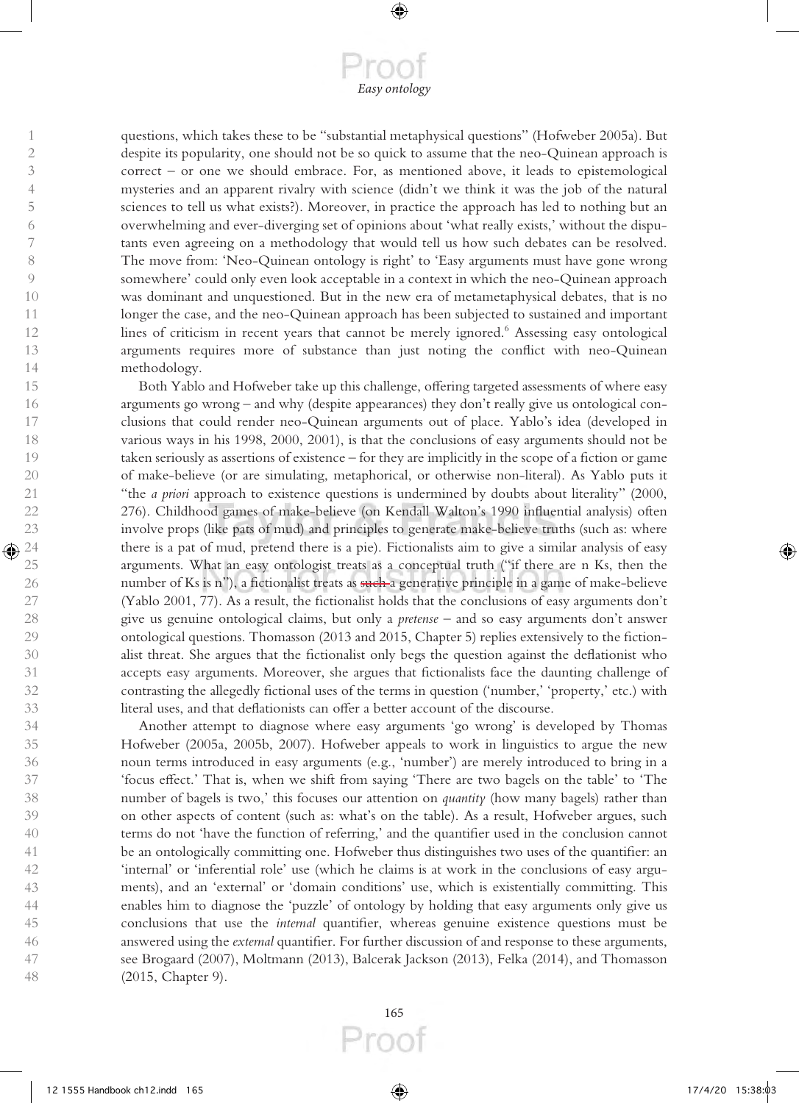$\bigoplus$ 

questions, which takes these to be "substantial metaphysical questions" (Hofweber 2005a). But despite its popularity, one should not be so quick to assume that the neo-Quinean approach is correct – or one we should embrace. For, as mentioned above, it leads to epistemological mysteries and an apparent rivalry with science (didn't we think it was the job of the natural sciences to tell us what exists?). Moreover, in practice the approach has led to nothing but an overwhelming and ever-diverging set of opinions about 'what really exists,' without the disputants even agreeing on a methodology that would tell us how such debates can be resolved. The move from: 'Neo-Quinean ontology is right' to 'Easy arguments must have gone wrong somewhere' could only even look acceptable in a context in which the neo-Quinean approach was dominant and unquestioned. But in the new era of metametaphysical debates, that is no longer the case, and the neo-Quinean approach has been subjected to sustained and important lines of criticism in recent years that cannot be merely ignored.<sup>6</sup> Assessing easy ontological arguments requires more of substance than just noting the conflict with neo-Quinean methodology.

Both Yablo and Hofweber take up this challenge, offering targeted assessments of where easy arguments go wrong – and why (despite appearances) they don't really give us ontological conclusions that could render neo-Quinean arguments out of place. Yablo's idea (developed in various ways in his 1998, 2000, 2001), is that the conclusions of easy arguments should not be taken seriously as assertions of existence – for they are implicitly in the scope of a fiction or game of make-believe (or are simulating, metaphorical, or otherwise non-literal). As Yablo puts it "the *a priori* approach to existence questions is undermined by doubts about literality" (2000, 276). Childhood games of make-believe (on Kendall Walton's 1990 influential analysis) often involve props (like pats of mud) and principles to generate make-believe truths (such as: where there is a pat of mud, pretend there is a pie). Fictionalists aim to give a similar analysis of easy arguments. What an easy ontologist treats as a conceptual truth ("if there are n Ks, then the number of Ks is n"), a fictionalist treats as such a generative principle in a game of make-believe (Yablo 2001, 77). As a result, the fictionalist holds that the conclusions of easy arguments don't give us genuine ontological claims, but only a *pretense –* and so easy arguments don't answer ontological questions. Thomasson (2013 and 2015, Chapter 5) replies extensively to the fictionalist threat. She argues that the fictionalist only begs the question against the deflationist who accepts easy arguments. Moreover, she argues that fictionalists face the daunting challenge of contrasting the allegedly fictional uses of the terms in question ('number,' 'property,' etc.) with literal uses, and that deflationists can offer a better account of the discourse.

Another attempt to diagnose where easy arguments 'go wrong' is developed by Thomas Hofweber (2005a, 2005b, 2007). Hofweber appeals to work in linguistics to argue the new noun terms introduced in easy arguments (e.g., 'number') are merely introduced to bring in a 'focus effect.' That is, when we shift from saying 'There are two bagels on the table' to 'The number of bagels is two,' this focuses our attention on *quantity* (how many bagels) rather than on other aspects of content (such as: what's on the table). As a result, Hofweber argues, such terms do not 'have the function of referring,' and the quantifier used in the conclusion cannot be an ontologically committing one. Hofweber thus distinguishes two uses of the quantifier: an 'internal' or 'inferential role' use (which he claims is at work in the conclusions of easy arguments), and an 'external' or 'domain conditions' use, which is existentially committing. This enables him to diagnose the 'puzzle' of ontology by holding that easy arguments only give us conclusions that use the *internal* quantifier, whereas genuine existence questions must be answered using the *external* quantifier. For further discussion of and response to these arguments, see Brogaard (2007), Moltmann (2013), Balcerak Jackson (2013), Felka (2014), and Thomasson (2015, Chapter 9).

 $\leftrightarrow$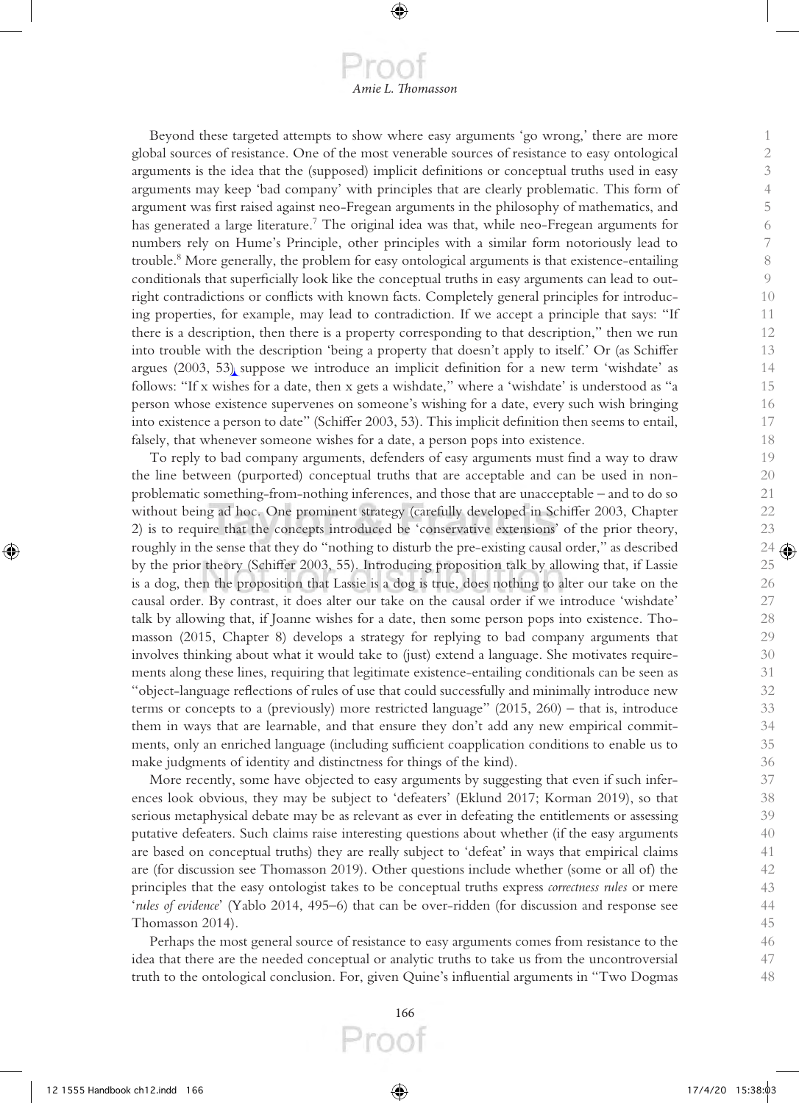⊕

Beyond these targeted attempts to show where easy arguments 'go wrong,' there are more global sources of resistance. One of the most venerable sources of resistance to easy ontological arguments is the idea that the (supposed) implicit definitions or conceptual truths used in easy arguments may keep 'bad company' with principles that are clearly problematic. This form of argument was first raised against neo-Fregean arguments in the philosophy of mathematics, and has generated a large literature.<sup>7</sup> The original idea was that, while neo-Fregean arguments for numbers rely on Hume's Principle, other principles with a similar form notoriously lead to trouble.<sup>8</sup> More generally, the problem for easy ontological arguments is that existence-entailing conditionals that superficially look like the conceptual truths in easy arguments can lead to outright contradictions or conflicts with known facts. Completely general principles for introducing properties, for example, may lead to contradiction. If we accept a principle that says: "If there is a description, then there is a property corresponding to that description," then we run into trouble with the description 'being a property that doesn't apply to itself.' Or (as Schiffer argues (2003, 53) suppose we introduce an implicit definition for a new term 'wishdate' as follows: "If x wishes for a date, then x gets a wishdate," where a 'wishdate' is understood as "a person whose existence supervenes on someone's wishing for a date, every such wish bringing into existence a person to date" (Schiffer 2003, 53). This implicit definition then seems to entail, falsely, that whenever someone wishes for a date, a person pops into existence.

To reply to bad company arguments, defenders of easy arguments must find a way to draw the line between (purported) conceptual truths that are acceptable and can be used in nonproblematic something-from-nothing inferences, and those that are unacceptable – and to do so without being ad hoc*.* One prominent strategy (carefully developed in Schiffer 2003, Chapter 2) is to require that the concepts introduced be 'conservative extensions' of the prior theory, roughly in the sense that they do "nothing to disturb the pre-existing causal order," as described by the prior theory (Schiffer 2003, 55). Introducing proposition talk by allowing that, if Lassie is a dog, then the proposition that Lassie is a dog is true, does nothing to alter our take on the causal order. By contrast, it does alter our take on the causal order if we introduce 'wishdate' talk by allowing that, if Joanne wishes for a date, then some person pops into existence. Thomasson (2015, Chapter 8) develops a strategy for replying to bad company arguments that involves thinking about what it would take to (just) extend a language. She motivates requirements along these lines, requiring that legitimate existence-entailing conditionals can be seen as "object-language reflections of rules of use that could successfully and minimally introduce new terms or concepts to a (previously) more restricted language" (2015, 260) – that is, introduce them in ways that are learnable, and that ensure they don't add any new empirical commitments, only an enriched language (including sufficient coapplication conditions to enable us to make judgments of identity and distinctness for things of the kind).

More recently, some have objected to easy arguments by suggesting that even if such inferences look obvious, they may be subject to 'defeaters' (Eklund 2017; Korman 2019), so that serious metaphysical debate may be as relevant as ever in defeating the entitlements or assessing putative defeaters. Such claims raise interesting questions about whether (if the easy arguments are based on conceptual truths) they are really subject to 'defeat' in ways that empirical claims are (for discussion see Thomasson 2019). Other questions include whether (some or all of) the principles that the easy ontologist takes to be conceptual truths express *correctness rules* or mere '*rules of evidence*' (Yablo 2014, 495–6) that can be over-ridden (for discussion and response see Thomasson 2014).

Perhaps the most general source of resistance to easy arguments comes from resistance to the idea that there are the needed conceptual or analytic truths to take us from the uncontroversial truth to the ontological conclusion. For, given Quine's influential arguments in "Two Dogmas

⊕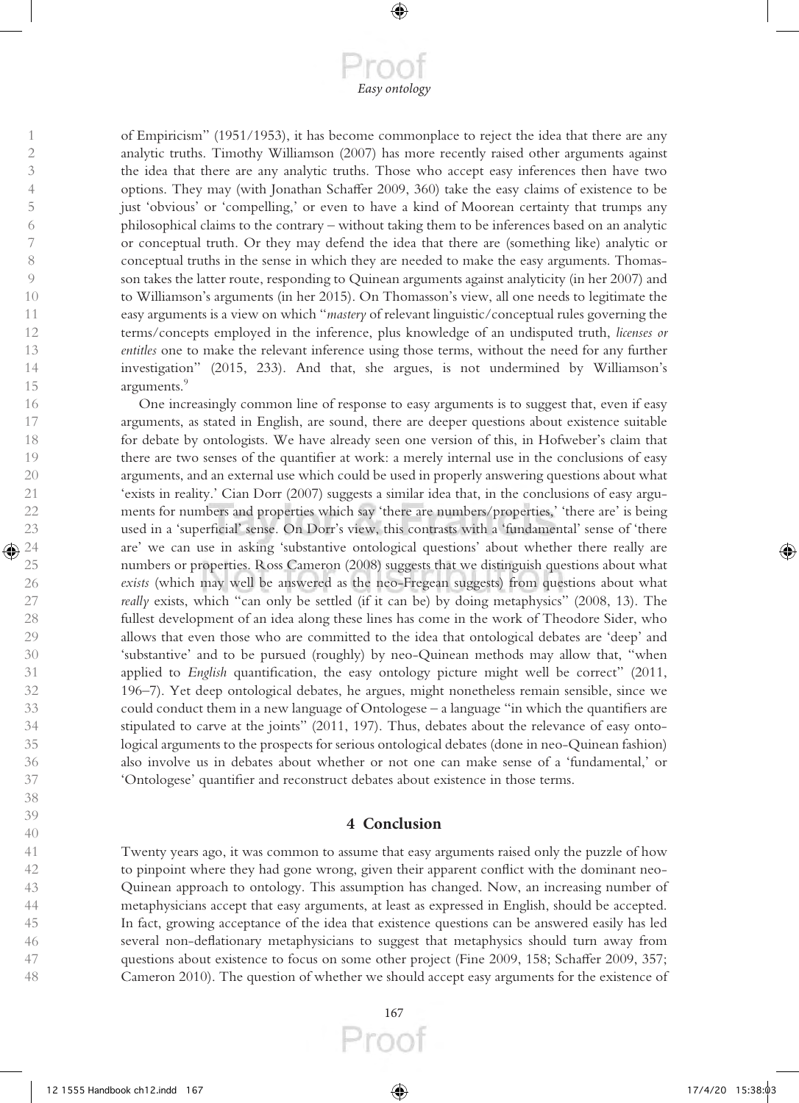$\bigoplus$ 

of Empiricism" (1951/1953), it has become commonplace to reject the idea that there are any analytic truths. Timothy Williamson (2007) has more recently raised other arguments against the idea that there are any analytic truths. Those who accept easy inferences then have two options. They may (with Jonathan Schaffer 2009, 360) take the easy claims of existence to be just 'obvious' or 'compelling,' or even to have a kind of Moorean certainty that trumps any philosophical claims to the contrary – without taking them to be inferences based on an analytic or conceptual truth. Or they may defend the idea that there are (something like) analytic or conceptual truths in the sense in which they are needed to make the easy arguments. Thomasson takes the latter route, responding to Quinean arguments against analyticity (in her 2007) and to Williamson's arguments (in her 2015). On Thomasson's view, all one needs to legitimate the easy arguments is a view on which "*mastery* of relevant linguistic/conceptual rules governing the terms/concepts employed in the inference, plus knowledge of an undisputed truth, *licenses or entitles* one to make the relevant inference using those terms, without the need for any further investigation" (2015, 233). And that, she argues, is not undermined by Williamson's arguments.<sup>9</sup>

One increasingly common line of response to easy arguments is to suggest that, even if easy arguments, as stated in English, are sound, there are deeper questions about existence suitable for debate by ontologists. We have already seen one version of this, in Hofweber's claim that there are two senses of the quantifier at work: a merely internal use in the conclusions of easy arguments, and an external use which could be used in properly answering questions about what 'exists in reality.' Cian Dorr (2007) suggests a similar idea that, in the conclusions of easy arguments for numbers and properties which say 'there are numbers/properties,' 'there are' is being used in a 'superficial' sense. On Dorr's view, this contrasts with a 'fundamental' sense of 'there are' we can use in asking 'substantive ontological questions' about whether there really are numbers or properties. Ross Cameron (2008) suggests that we distinguish questions about what *exists* (which may well be answered as the neo-Fregean suggests) from questions about what *really* exists, which "can only be settled (if it can be) by doing metaphysics" (2008, 13). The fullest development of an idea along these lines has come in the work of Theodore Sider, who allows that even those who are committed to the idea that ontological debates are 'deep' and 'substantive' and to be pursued (roughly) by neo-Quinean methods may allow that, "when applied to *English* quantification, the easy ontology picture might well be correct" (2011, 196–7). Yet deep ontological debates, he argues, might nonetheless remain sensible, since we could conduct them in a new language of Ontologese – a language "in which the quantifiers are stipulated to carve at the joints" (2011, 197). Thus, debates about the relevance of easy ontological arguments to the prospects for serious ontological debates (done in neo-Quinean fashion) also involve us in debates about whether or not one can make sense of a 'fundamental,' or 'Ontologese' quantifier and reconstruct debates about existence in those terms.

#### **4 Conclusion**

Twenty years ago, it was common to assume that easy arguments raised only the puzzle of how to pinpoint where they had gone wrong, given their apparent conflict with the dominant neo-Quinean approach to ontology. This assumption has changed. Now, an increasing number of metaphysicians accept that easy arguments, at least as expressed in English, should be accepted. In fact, growing acceptance of the idea that existence questions can be answered easily has led several non-deflationary metaphysicians to suggest that metaphysics should turn away from questions about existence to focus on some other project (Fine 2009, 158; Schaffer 2009, 357; Cameron 2010). The question of whether we should accept easy arguments for the existence of



 $\leftrightarrow$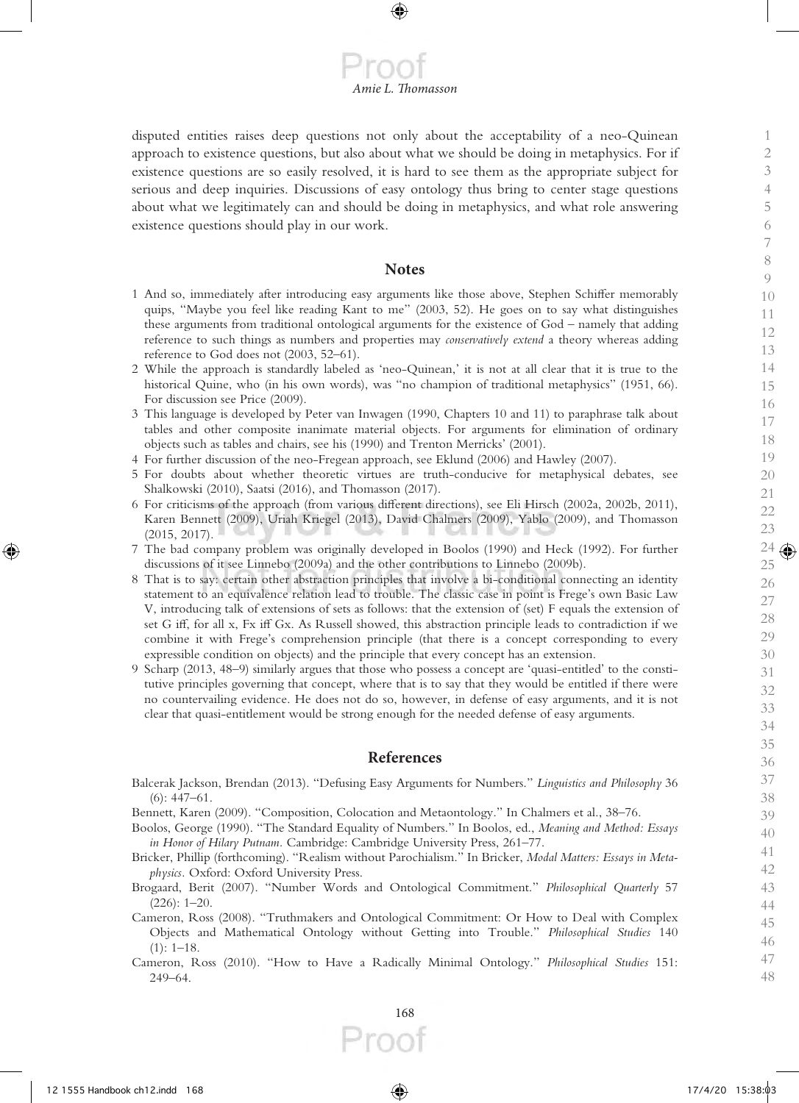⊕

disputed entities raises deep questions not only about the acceptability of a neo-Quinean approach to existence questions, but also about what we should be doing in metaphysics. For if existence questions are so easily resolved, it is hard to see them as the appropriate subject for serious and deep inquiries. Discussions of easy ontology thus bring to center stage questions about what we legitimately can and should be doing in metaphysics, and what role answering existence questions should play in our work.

#### **Notes**

- 1 And so, immediately after introducing easy arguments like those above, Stephen Schiffer memorably quips, "Maybe you feel like reading Kant to me" (2003, 52). He goes on to say what distinguishes these arguments from traditional ontological arguments for the existence of God – namely that adding reference to such things as numbers and properties may *conservatively extend* a theory whereas adding reference to God does not (2003, 52–61).
- 2 While the approach is standardly labeled as 'neo-Quinean,' it is not at all clear that it is true to the historical Quine, who (in his own words), was "no champion of traditional metaphysics" (1951, 66). For discussion see Price (2009).
- 3 This language is developed by Peter van Inwagen (1990, Chapters 10 and 11) to paraphrase talk about tables and other composite inanimate material objects. For arguments for elimination of ordinary objects such as tables and chairs, see his (1990) and Trenton Merricks' (2001).
- 4 For further discussion of the neo-Fregean approach, see Eklund (2006) and Hawley (2007).
- 5 For doubts about whether theoretic virtues are truth-conducive for metaphysical debates, see Shalkowski (2010), Saatsi (2016), and Thomasson (2017).
- 6 For criticisms of the approach (from various different directions), see Eli Hirsch (2002a, 2002b, 2011), Karen Bennett (2009), Uriah Kriegel (2013), David Chalmers (2009), Yablo (2009), and Thomasson (2015, 2017).
- 7 The bad company problem was originally developed in Boolos (1990) and Heck (1992). For further discussions of it see Linnebo (2009a) and the other contributions to Linnebo (2009b).
- 8 That is to say: certain other abstraction principles that involve a bi-conditional connecting an identity statement to an equivalence relation lead to trouble. The classic case in point is Frege's own Basic Law V, introducing talk of extensions of sets as follows: that the extension of (set) F equals the extension of set G iff, for all x, Fx iff Gx. As Russell showed, this abstraction principle leads to contradiction if we combine it with Frege's comprehension principle (that there is a concept corresponding to every expressible condition on objects) and the principle that every concept has an extension.
- 9 Scharp (2013, 48–9) similarly argues that those who possess a concept are 'quasi-entitled' to the constitutive principles governing that concept, where that is to say that they would be entitled if there were no countervailing evidence. He does not do so, however, in defense of easy arguments, and it is not clear that quasi-entitlement would be strong enough for the needed defense of easy arguments.

#### **References**

Balcerak Jackson, Brendan (2013). "Defusing Easy Arguments for Numbers." *Linguistics and Philosophy* 36 (6): 447–61.

Bennett, Karen (2009). "Composition, Colocation and Metaontology." In Chalmers et al., 38–76.

- Boolos, George (1990). "The Standard Equality of Numbers." In Boolos, ed., *Meaning and Method: Essays in Honor of Hilary Putnam.* Cambridge: Cambridge University Press, 261–77.
- Bricker, Phillip (forthcoming). "Realism without Parochialism." In Bricker, *Modal Matters: Essays in Metaphysics.* Oxford: Oxford University Press.
- Brogaard, Berit (2007). "Number Words and Ontological Commitment." *Philosophical Quarterly* 57 (226): 1–20.
- Cameron, Ross (2008). "Truthmakers and Ontological Commitment: Or How to Deal with Complex Objects and Mathematical Ontology without Getting into Trouble." *Philosophical Studies* 140  $(1): 1-18.$
- Cameron, Ross (2010). "How to Have a Radically Minimal Ontology." *Philosophical Studies* 151: 249–64.

168

↔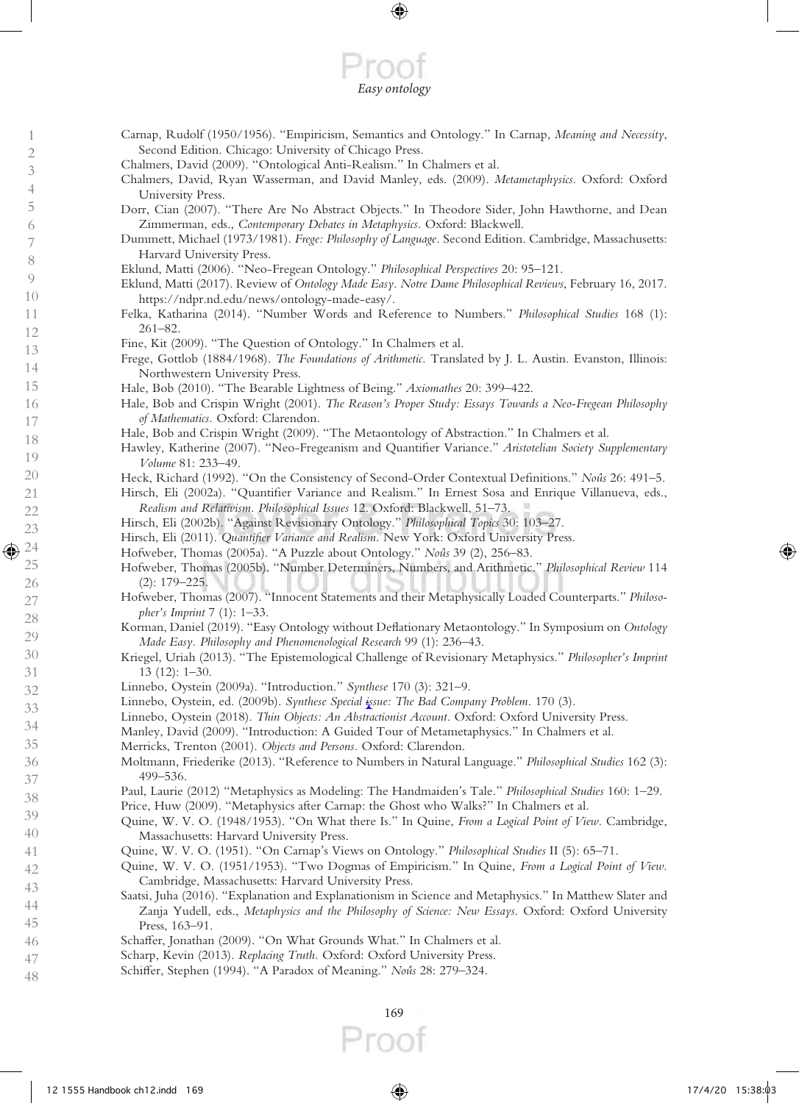Proof

 $\bigoplus$ 

| Carnap, Rudolf (1950/1956). "Empiricism, Semantics and Ontology." In Carnap, Meaning and Necessity,<br>Second Edition. Chicago: University of Chicago Press.                                      |
|---------------------------------------------------------------------------------------------------------------------------------------------------------------------------------------------------|
| Chalmers, David (2009). "Ontological Anti-Realism." In Chalmers et al.                                                                                                                            |
| Chalmers, David, Ryan Wasserman, and David Manley, eds. (2009). Metametaphysics. Oxford: Oxford<br>University Press.                                                                              |
| Dorr, Cian (2007). "There Are No Abstract Objects." In Theodore Sider, John Hawthorne, and Dean                                                                                                   |
| Zimmerman, eds., Contemporary Debates in Metaphysics. Oxford: Blackwell.                                                                                                                          |
| Dummett, Michael (1973/1981). Frege: Philosophy of Language. Second Edition. Cambridge, Massachusetts:                                                                                            |
| Harvard University Press.<br>Eklund, Matti (2006). "Neo-Fregean Ontology." Philosophical Perspectives 20: 95-121.                                                                                 |
| Eklund, Matti (2017). Review of Ontology Made Easy. Notre Dame Philosophical Reviews, February 16, 2017.                                                                                          |
| https://ndpr.nd.edu/news/ontology-made-easy/.                                                                                                                                                     |
| Felka, Katharina (2014). "Number Words and Reference to Numbers." Philosophical Studies 168 (1):<br>$261 - 82.$                                                                                   |
| Fine, Kit (2009). "The Question of Ontology." In Chalmers et al.                                                                                                                                  |
| Frege, Gottlob (1884/1968). The Foundations of Arithmetic. Translated by J. L. Austin. Evanston, Illinois:                                                                                        |
| Northwestern University Press.                                                                                                                                                                    |
| Hale, Bob (2010). "The Bearable Lightness of Being." Axiomathes 20: 399-422.<br>Hale, Bob and Crispin Wright (2001). The Reason's Proper Study: Essays Towards a Neo-Fregean Philosophy           |
| of Mathematics. Oxford: Clarendon.                                                                                                                                                                |
| Hale, Bob and Crispin Wright (2009). "The Metaontology of Abstraction." In Chalmers et al.                                                                                                        |
| Hawley, Katherine (2007). "Neo-Fregeanism and Quantifier Variance." Aristotelian Society Supplementary<br>Volume 81: 233-49.                                                                      |
| Heck, Richard (1992). "On the Consistency of Second-Order Contextual Definitions." Noûs 26: 491-5.                                                                                                |
| Hirsch, Eli (2002a). "Quantifier Variance and Realism." In Ernest Sosa and Enrique Villanueva, eds.,                                                                                              |
| Realism and Relativism. Philosophical Issues 12. Oxford: Blackwell, 51-73.                                                                                                                        |
| Hirsch, Eli (2002b). "Against Revisionary Ontology." Philosophical Topics 30: 103-27.<br>Hirsch, Eli (2011). Quantifier Variance and Realism. New York: Oxford University Press.                  |
| Hofweber, Thomas (2005a). "A Puzzle about Ontology." Noûs 39 (2), 256-83.                                                                                                                         |
| Hofweber, Thomas (2005b). "Number Determiners, Numbers, and Arithmetic." Philosophical Review 114                                                                                                 |
| $(2): 179 - 225.$<br>Hofweber, Thomas (2007). "Innocent Statements and their Metaphysically Loaded Counterparts." Philoso-                                                                        |
| <i>pher's Imprint</i> $7(1)$ : 1–33.                                                                                                                                                              |
| Korman, Daniel (2019). "Easy Ontology without Deflationary Metaontology." In Symposium on Ontology                                                                                                |
| Made Easy. Philosophy and Phenomenological Research 99 (1): 236–43.                                                                                                                               |
| Kriegel, Uriah (2013). "The Epistemological Challenge of Revisionary Metaphysics." Philosopher's Imprint<br>$13(12): 1-30.$                                                                       |
| Linnebo, Oystein (2009a). "Introduction." Synthese 170 (3): 321-9.                                                                                                                                |
| Linnebo, Oystein, ed. (2009b). Synthese Special issue: The Bad Company Problem. 170 (3).                                                                                                          |
| Linnebo, Oystein (2018). Thin Objects: An Abstractionist Account. Oxford: Oxford University Press.<br>Manley, David (2009). "Introduction: A Guided Tour of Metametaphysics." In Chalmers et al.  |
| Merricks, Trenton (2001). Objects and Persons. Oxford: Clarendon.                                                                                                                                 |
| Moltmann, Friederike (2013). "Reference to Numbers in Natural Language." Philosophical Studies 162 (3):                                                                                           |
| 499-536.                                                                                                                                                                                          |
| Paul, Laurie (2012) "Metaphysics as Modeling: The Handmaiden's Tale." Philosophical Studies 160: 1-29.<br>Price, Huw (2009). "Metaphysics after Carnap: the Ghost who Walks?" In Chalmers et al.  |
| Quine, W. V. O. (1948/1953). "On What there Is." In Quine, From a Logical Point of View. Cambridge,                                                                                               |
| Massachusetts: Harvard University Press.                                                                                                                                                          |
| Quine, W. V. O. (1951). "On Carnap's Views on Ontology." Philosophical Studies II (5): 65-71.<br>Quine, W. V. O. (1951/1953). "Two Dogmas of Empiricism." In Quine, From a Logical Point of View. |
| Cambridge, Massachusetts: Harvard University Press.                                                                                                                                               |
| Saatsi, Juha (2016). "Explanation and Explanationism in Science and Metaphysics." In Matthew Slater and                                                                                           |
| Zanja Yudell, eds., Metaphysics and the Philosophy of Science: New Essays. Oxford: Oxford University                                                                                              |
| Press, 163–91.<br>Schaffer, Jonathan (2009). "On What Grounds What." In Chalmers et al.                                                                                                           |
| Scharp, Kevin (2013). Replacing Truth. Oxford: Oxford University Press.                                                                                                                           |
| Schiffer, Stephen (1994). "A Paradox of Meaning." Noûs 28: 279-324.                                                                                                                               |
|                                                                                                                                                                                                   |
| 169                                                                                                                                                                                               |
|                                                                                                                                                                                                   |
|                                                                                                                                                                                                   |

 $\overline{\phantom{a}}$